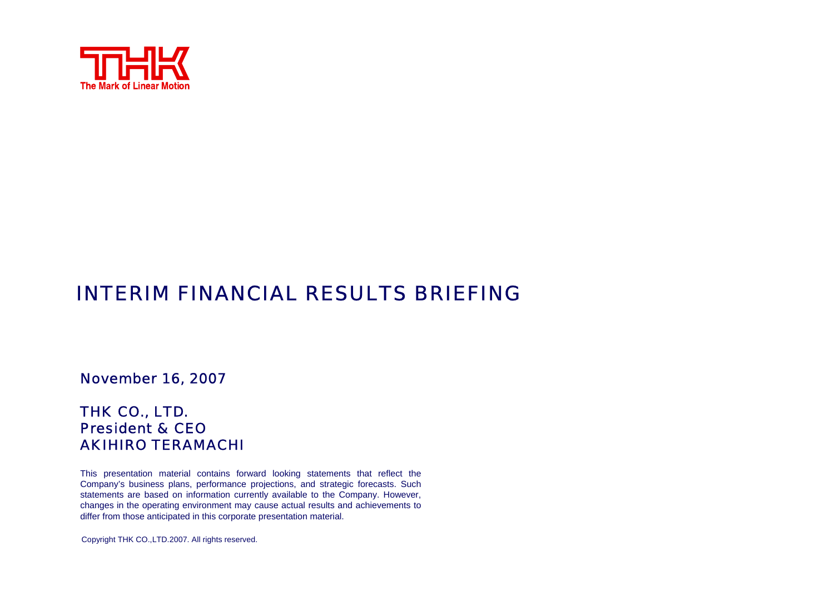

### INTERIM FINANCIAL RESULTS BRIEFING

November 16, 2007

#### THK CO., LTD. President & CEOAKIHIRO TERAMACHI

This presentation material contains forward looking statements that reflect the Company's business plans, performance projections, and strategic forecasts. Such statements are based on information currently available to the Company. However, changes in the operating environment may cause actual results and achievements to differ from those anticipated in this corporate presentation material.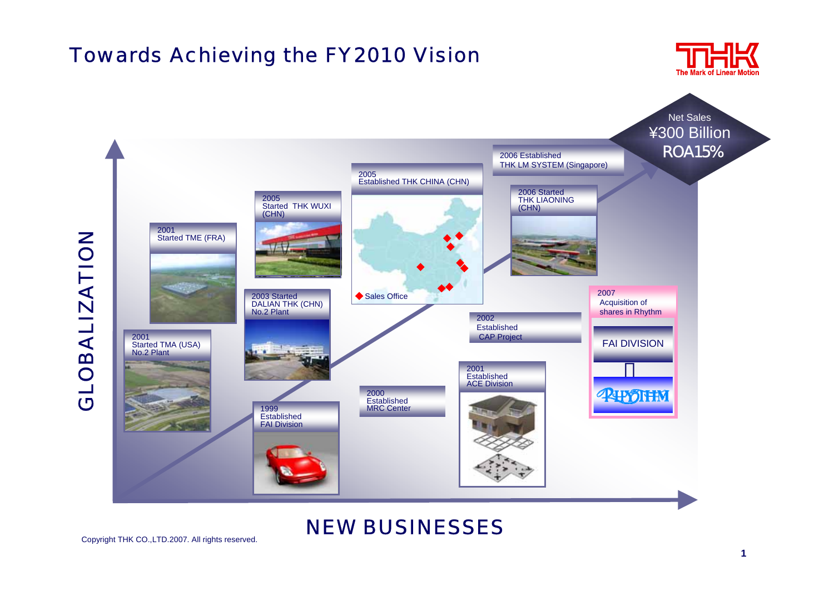## Towards Achieving the FY2010 Vision



NEW BUSINESSES

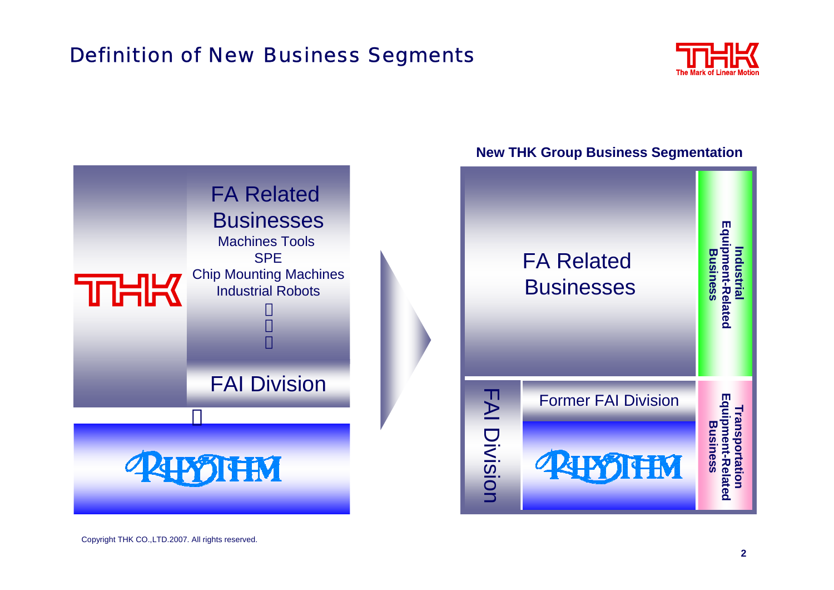# Definition of New Business Segments



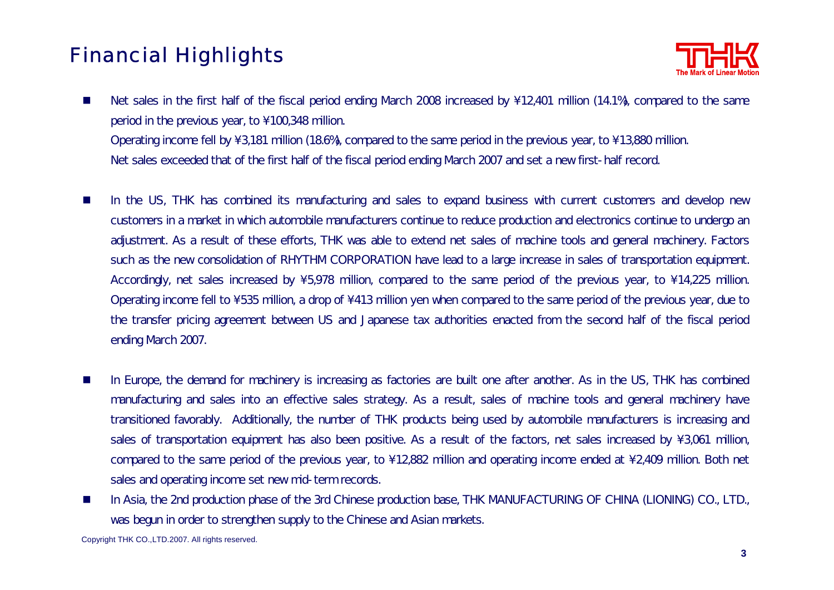# Financial Highlights



- **The Second** In the US, THK has combined its manufacturing and sales to expand business with current customers and develop new customers in a market in which automobile manufacturers continue to reduce production and electronics continue to undergo an adjustment. As <sup>a</sup> result of these efforts, THK was able to extend net sales of machine tools and general machinery. Factors such as the new consolidation of RHYTHM CORPORATION have lead to <sup>a</sup> large increase in sales of transportation equipment. Accordingly, net sales increased by  $\sqrt{5}$ ,978 million, compared to the same period of the previous year, to  $\sqrt{14}$ ,225 million. Operating income fell to  $\setminus$  535 million, a drop of  $\setminus$  413 million yen when compared to the same period of the previous year, due to the transfer pricing agreement between US and Japanese tax authorities enacted from the second half of the fiscal period ending March 2007.
- $\mathcal{L}_{\mathcal{A}}$  In Europe, the demand for machinery is increasing as factories are built one after another. As in the US, THK has combined manufacturing and sales into an effective sales strategy. As <sup>a</sup> result, sales of machine tools and general machinery have transitioned favorably. Additionally, the number of THK products being used by automobile manufacturers is increasing and sales of transportation equipment has also been positive. As a result of the factors, net sales increased by  $\setminus 3,061$  million, compared to the same period of the previous year, to \12,882 million and operating income ended at \2,409 million. Both net sales and operating income set new mid-term records.
- $\mathcal{C}^{\mathcal{A}}$  In Asia, the 2nd production phase of the 3rd Chinese production base, THK MANUFACTURING OF CHINA (LIONING) CO., LTD., was begun in order to strengthen supply to the Chinese and Asian markets.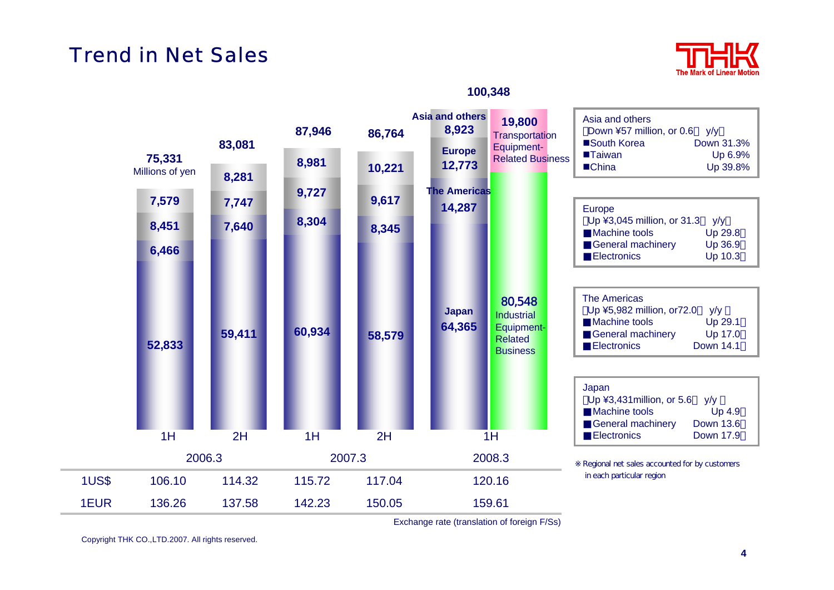### Trend in Net Sales



#### **100,348**



Exchange rate (translation of foreign F/Ss)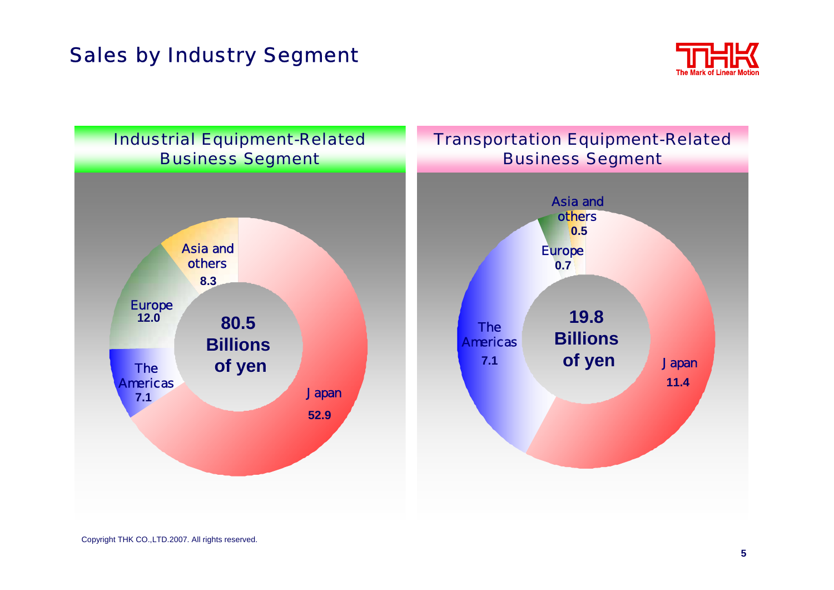## Sales by Industry Segment



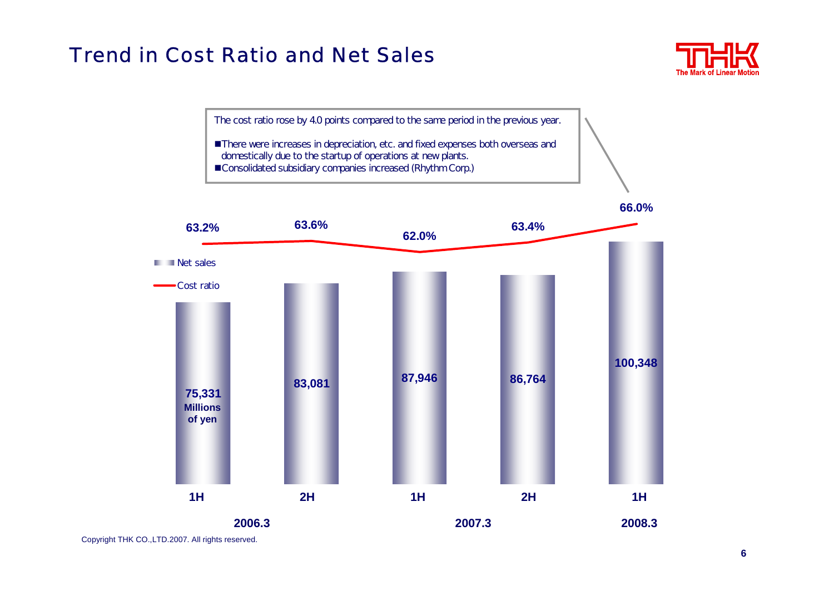#### Trend in Cost Ratio and Net Sales



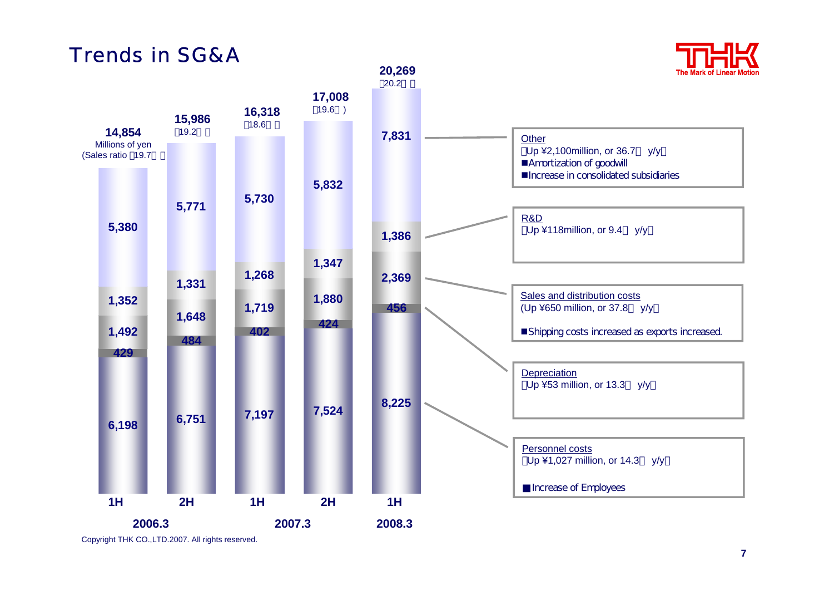## Trends in SG&A

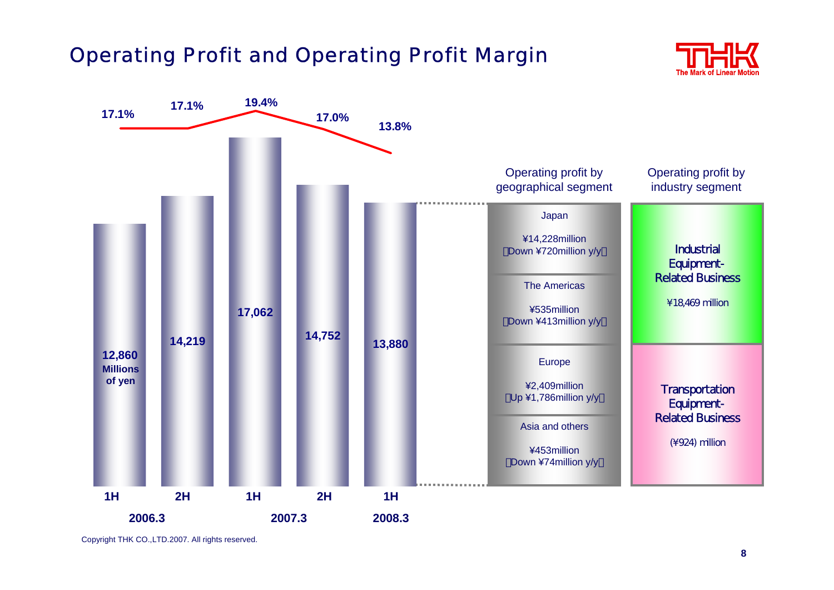## Operating Profit and Operating Profit Margin



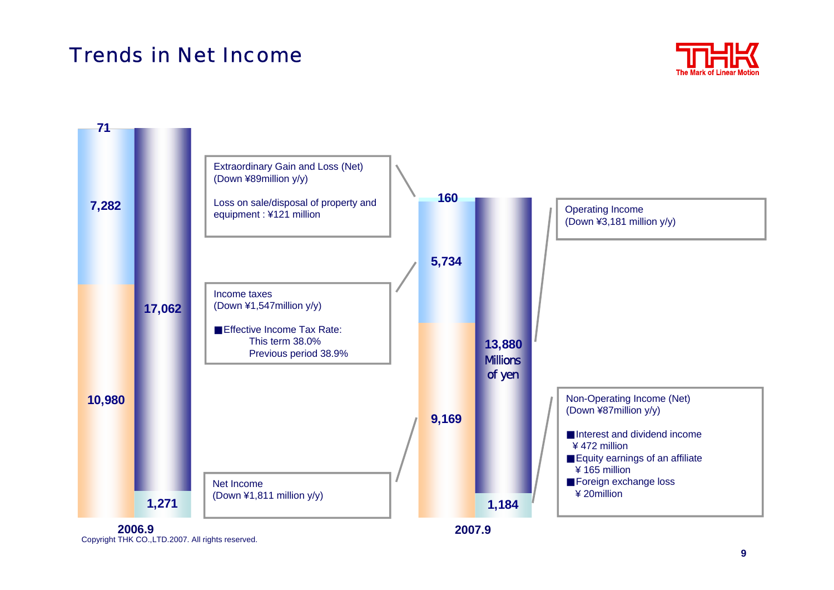## Trends in Net Income

**71**



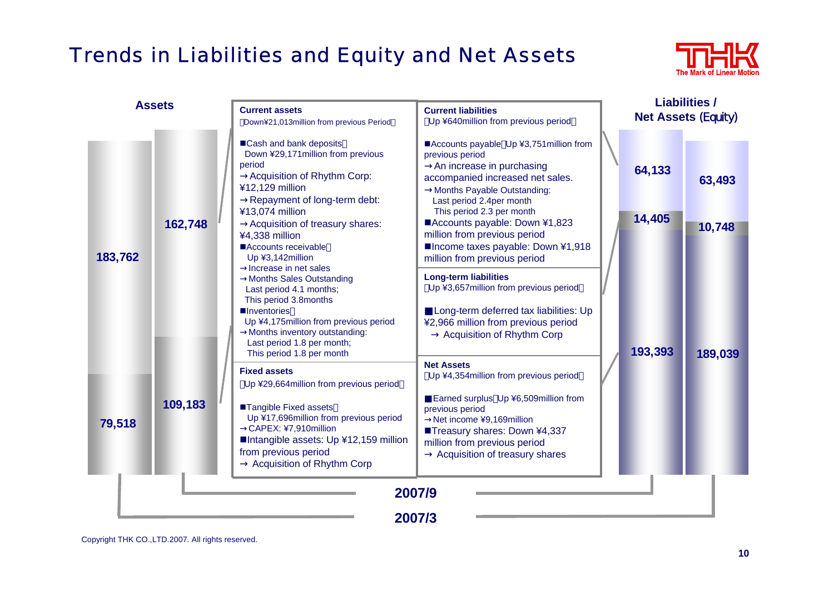# Trends in Liabilities and Equity and Net Assets



| <b>Assets</b>    |         | <b>Current assets</b><br>Down¥21,013million from previous Period                                                                                                                                                                                                 | <b>Current liabilities</b><br>Up ¥640million from previous period                                                                                                                                                                                     |  | <b>Liabilities /</b><br><b>Net Assets (Equity)</b> |         |  |
|------------------|---------|------------------------------------------------------------------------------------------------------------------------------------------------------------------------------------------------------------------------------------------------------------------|-------------------------------------------------------------------------------------------------------------------------------------------------------------------------------------------------------------------------------------------------------|--|----------------------------------------------------|---------|--|
| 183,762          | 162,748 | ■Cash and bank deposits<br>Down ¥29,171 million from previous<br>period<br>Acquisition of Rhythm Corp:<br>¥12,129 million<br>Repayment of long-term debt:                                                                                                        | ■Accounts payable Up ¥3,751 million from<br>previous period<br>An increase in purchasing<br>accompanied increased net sales.<br>Months Payable Outstanding:<br>Last period 2.4per month                                                               |  | 64,133                                             | 63,493  |  |
|                  |         | ¥13,074 million<br>Acquisition of treasury shares:<br>¥4,338 million<br>Accounts receivable<br>Up ¥3,142million<br>Increase in net sales                                                                                                                         | This period 2.3 per month<br>■Accounts payable: Down ¥1,823<br>million from previous period<br>■Income taxes payable: Down ¥1,918<br>million from previous period                                                                                     |  | 14,405                                             | 10,748  |  |
|                  |         | <b>Months Sales Outstanding</b><br>Last period 4.1 months;<br>This period 3.8months<br><b>Inventories</b><br>Up ¥4,175million from previous period<br>Months inventory outstanding:<br>Last period 1.8 per month;<br>This period 1.8 per month                   | <b>Long-term liabilities</b><br>Up ¥3,657 million from previous period<br>Long-term deferred tax liabilities: Up<br>¥2,966 million from previous period<br><b>Acquisition of Rhythm Corp</b>                                                          |  | 193,393                                            | 189,039 |  |
| 79,518           | 109,183 | <b>Fixed assets</b><br>Up ¥29,664 million from previous period<br>■Tangible Fixed assets<br>Up ¥17,696million from previous period<br>CAPEX: ¥7,910million<br>Intangible assets: Up ¥12,159 million<br>from previous period<br><b>Acquisition of Rhythm Corp</b> | <b>Net Assets</b><br>Up ¥4,354 million from previous period<br>Earned surplus Up ¥6,509million from<br>previous period<br>Net income ¥9,169million<br>■Treasury shares: Down ¥4,337<br>million from previous period<br>Acquisition of treasury shares |  |                                                    |         |  |
| 2007/9<br>2007/3 |         |                                                                                                                                                                                                                                                                  |                                                                                                                                                                                                                                                       |  |                                                    |         |  |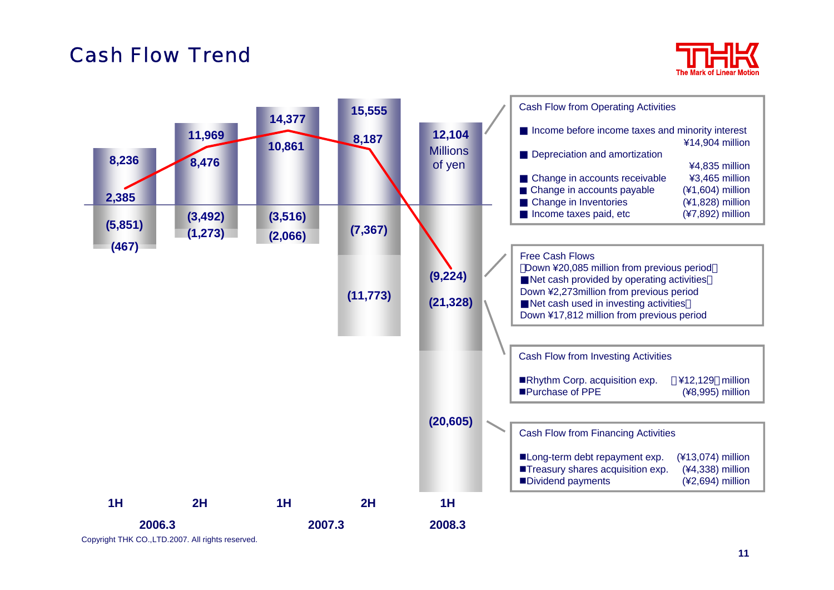### Cash Flow Trend



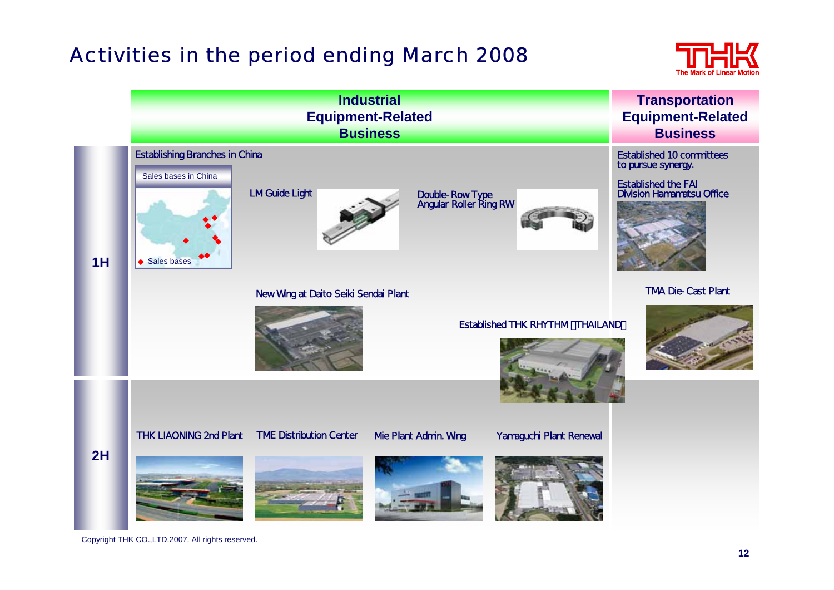## Activities in the period ending March 2008